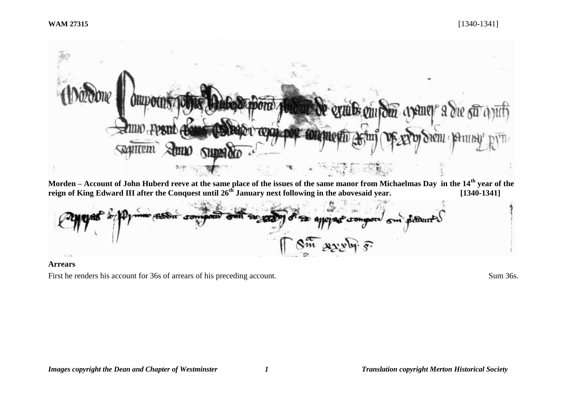#### **WAM 27315** [1340-1341]



**Morden – Account of John Huberd reeve at the same place of the issues of the same manor from Michaelmas Day in the 14th year of the reign of King Edward III after the Conquest until 26th January next following in the abovesaid year. [1340-1341]**

Betweent U  $1.76$ 

# **Arrears**

First he renders his account for 36s of arrears of his preceding account. Sum 36s.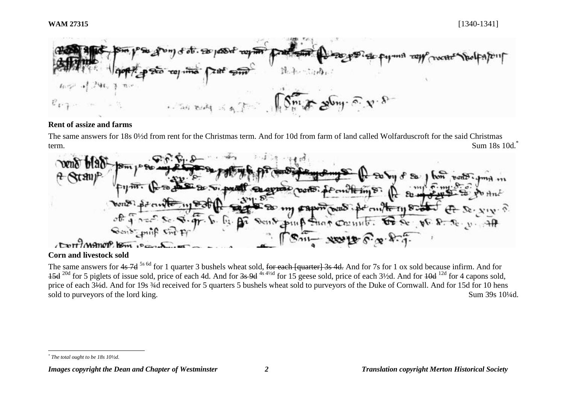

### **Rent of assize and farms**

The same answers for 18s 0½d from rent for the Christmas term. And for 10d from farm of land called Wolfarduscroft for the said Christmas term. Sum  $18s\;10d$ .  $\text{Sum } 18s\;10d$ .



# **Corn and livestock sold**

The same answers for 4s 7d <sup>5s 6d</sup> for 1 quarter 3 bushels wheat sold, <del>for each [quarter] 3s 4d.</del> And for 7s for 1 ox sold because infirm. And for  $15d^{20d}$  for 5 piglets of issue sold, price of each 4d. And for  $3s$  9d <sup>4s 4½d</sup> for 15 geese sold, price of each  $3\frac{1}{2}d$ . And for  $10d^{12d}$  for 4 capons sold, price of each  $3\frac{1}{4}d$ . And for 19s  $\frac{3}{4}d$  received for 5 quarters 5 bushels wheat sold to purveyors of the Duke of Cornwall. And for 15d for 10 hens sold to purveyors of the lord king. Sum 39s 10<sup>1/4d.</sup>

l *\* The total ought to be 18s 10½d.*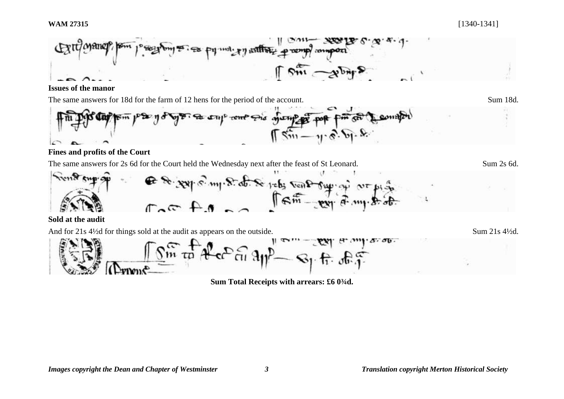

**Issues of the manor**

The same answers for 18d for the farm of 12 hens for the period of the account. Sum 18d.



# **Fines and profits of the Court**

The same answers for 2s 6d for the Court held the Wednesday next after the feast of St Leonard. Sum 2s 6d.



**Sold at the audit** 

And for 21s 4<sup>1/2</sup>d for things sold at the audit as appears on the outside. Sum 21s 4<sup>1/2d.</sup>

 $.50.$ 

**Sum Total Receipts with arrears: £6 0¾d.**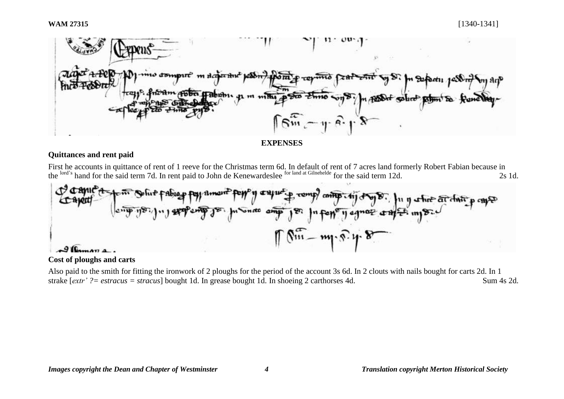

#### **EXPENSES**

# **Quittances and rent paid**

First he accounts in quittance of rent of 1 reeve for the Christmas term 6d. In default of rent of 7 acres land formerly Robert Fabian because in the lord's hand for the said term 7d. In rent paid to John de Kenewardeslee for land at Gilnehelde for the said term 12d. 2s 1d.



# **Cost of ploughs and carts**

Also paid to the smith for fitting the ironwork of 2 ploughs for the period of the account 3s 6d. In 2 clouts with nails bought for carts 2d. In 1 strake [*extr' ?* = *estracus* = *stracus*] bought 1d. In grease bought 1d. In shoeing 2 carthorses 4d. Sum 4s 2d.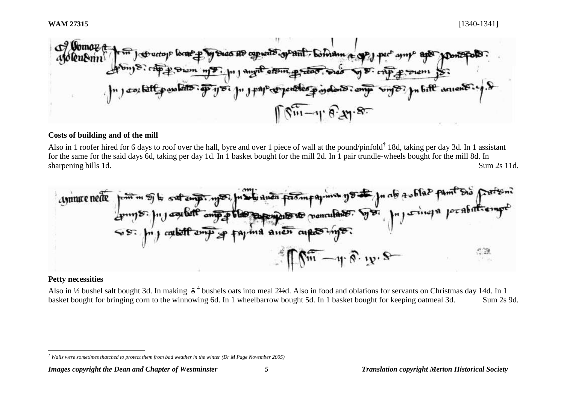$\sigma$  Goma grant boman a as HD capients 1" J pap of pendent payalons. ong Sing &? In bift arrivered.  $\int \sin^{-1} \theta x e^{x}$ 

#### **Costs of building and of the mill**

Also in 1 roofer hired for 6 days to roof over the hall, byre and over 1 piece of wall at the pound/pinfold<sup>†</sup> 18d, taking per day 3d. In 1 assistant for the same for the said days 6d, taking per day 1d. In 1 basket bought for the mill 2d. In 1 pair trundle-wheels bought for the mill 8d. In sharpening bills 1d. Sum 2s 11d.



#### **Petty necessities**

l

Also in  $\frac{1}{2}$  bushel salt bought 3d. In making  $5^4$  bushels oats into meal 2½d. Also in food and oblations for servants on Christmas day 14d. In 1 basket bought for bringing corn to the winnowing 6d. In 1 wheelbarrow bought 5d. In 1 basket bought for keeping oatmeal 3d. Sum 2s 9d.

*<sup>†</sup> Walls were sometimes thatched to protect them from bad weather in the winter (Dr M Page November 2005)*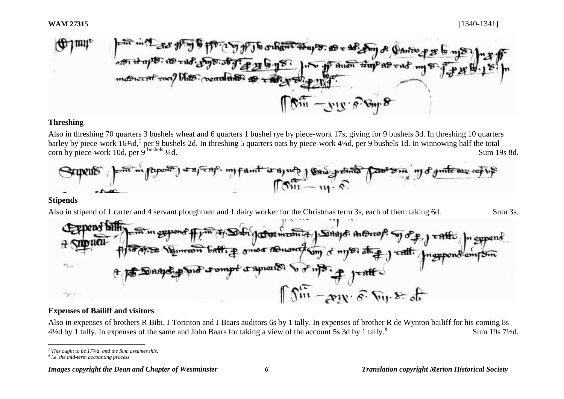

# **Threshing**

Also in threshing 70 quarters 3 bushels wheat and 6 quarters 1 bushel rye by piece-work 17s, giving for 9 bushels 3d. In threshing 10 quarters barley by piece-work 16¾d,<sup>‡</sup> per 9 bushels 2d. In threshing 5 quarters oats by piece-work 4¼d, per 9 bushels 1d. In winnowing half the total corn by piece-work 10d, per  $9^{$  bushels  $1/4d$ . Sum 19s 8d.



#### **Stipends**

Also in stipend of 1 carter and 4 servant ploughmen and 1 dairy worker for the Christmas term 3s, each of them taking 6d. Sum 3s.



#### **Expenses of Bailiff and visitors**

Also in expenses of brothers R Bibi, J Torinton and J Baars auditors 6s by 1 tally. In expenses of brother R de Wynton bailiff for his coming 8s  $4\frac{1}{2}$ d by 1 tally. In expenses of the same and John Baars for taking a view of the account 5s 3d by 1 tally.<sup>§</sup> Sum 19s 7½d.

l *‡ This ought to be 17¾d, and the Sum assumes this.*

*<sup>§</sup> i.e. the mid-term accounting process*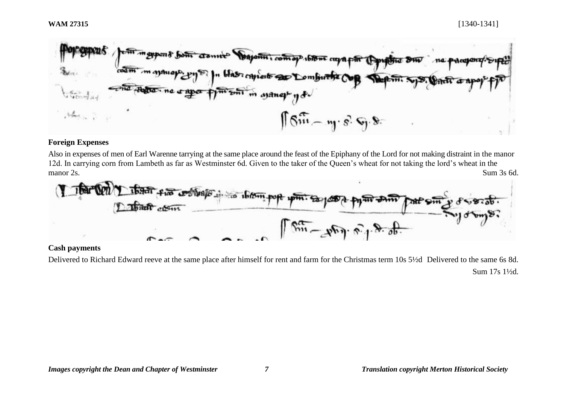

# **Foreign Expenses**

Also in expenses of men of Earl Warenne tarrying at the same place around the feast of the Epiphany of the Lord for not making distraint in the manor 12d. In carrying corn from Lambeth as far as Westminster 6d. Given to the taker of the Queen's wheat for not taking the lord's wheat in the manor 2s. Sum 3s 6d.



#### **Cash payments**

Delivered to Richard Edward reeve at the same place after himself for rent and farm for the Christmas term 10s 5½d Delivered to the same 6s 8d. Sum 17s 1½d.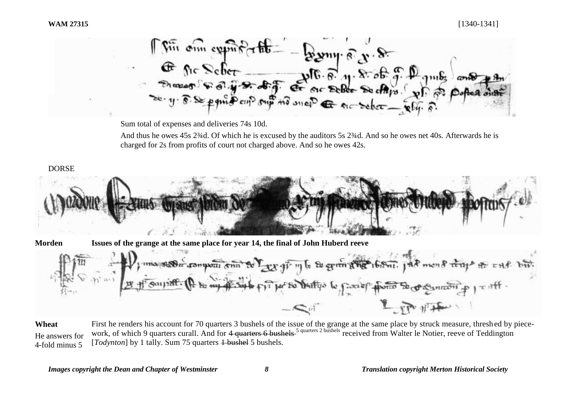$\int \sqrt{m} \, \phi m \, \phi m^2 \, m^2 \, m^2 = 22 \, \text{m} \cdot \text{s} \cdot \text{s} \cdot \text{s}$ 

Sum total of expenses and deliveries 74s 10d.

And thus he owes 45s 2<sup>3</sup>4d. Of which he is excused by the auditors 5s 2<sup>3</sup>4d. And so he owes net 40s. Afterwards he is charged for 2s from profits of court not charged above. And so he owes 42s.

# DORSE



**Morden Issues of the grange at the same place for year 14, the final of John Huberd reeve**

D, ma no a composition to Y are you in the experiment of the mond they are was the  $\infty$  in a) Lept 11 the

**Wheat** He answers for 4-fold minus 5 First he renders his account for 70 quarters 3 bushels of the issue of the grange at the same place by struck measure, thresh ed by piecework, of which 9 quarters curall. And for 4 quarters 6 bushels <sup>5 quarters 2 bushels</sup> received from Walter le Notier, reeve of Teddington [*Todynton*] by 1 tally. Sum 75 quarters <del>1 bushel</del> 5 bushels.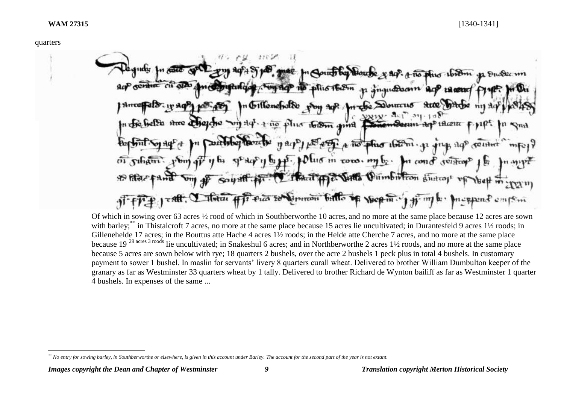A no phio ibiom  $|$  phis 16.8m  $160m$  annul  $+$ 110 A no plus ibirni  $\mathfrak{O} \mathfrak{l}$  us  $\mathfrak{r}$  in to  $\mathfrak{r}$  or  $\mathfrak{r}$  or  $\mathfrak{r}$  .  $n_1$  rihan m cond seifro পুস পিকি Meet 41 6. Justia Hereran

Of which in sowing over 63 acres ½ rood of which in Southberworthe 10 acres, and no more at the same place because 12 acres are sown with barley;<sup>\*\*</sup> in Thistalcroft 7 acres, no more at the same place because 15 acres lie uncultivated; in Durantesfeld 9 acres 1½ roods; in Gillenehelde 17 acres; in the Bouttus atte Hache 4 acres 1½ roods; in the Helde atte Cherche 7 acres, and no more at the same place because  $\frac{19^{29 \text{ acres } 3 \text{ roots}}}$  lie uncultivated; in Snakeshul 6 acres; and in Northberworthe 2 acres 1½ roods, and no more at the same place because 5 acres are sown below with rye; 18 quarters 2 bushels, over the acre 2 bushels 1 peck plus in total 4 bushels. In customary payment to sower 1 bushel. In maslin for servants' livery 8 quarters curall wheat. Delivered to brother William Dumbulton keeper of the granary as far as Westminster 33 quarters wheat by 1 tally. Delivered to brother Richard de Wynton bailiff as far as Westminster 1 quarter 4 bushels. In expenses of the same ...

l *\*\* No entry for sowing barley, in Southberworthe or elsewhere, is given in this account under Barley. The account for the second part of the year is not extant.*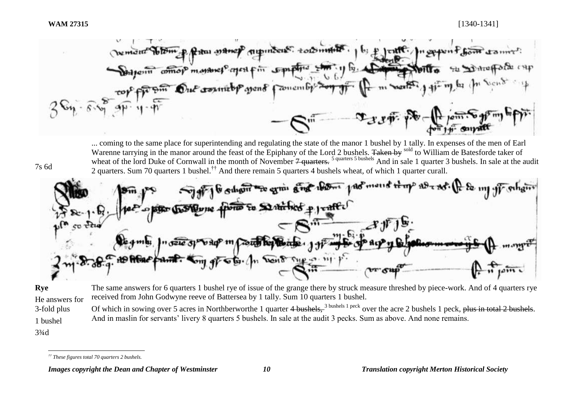7s 6d

otom p Ratus manep municus. tout month . 1 b; p Date om comop manner agent in supply show Out country your famously  $m$  wasn't  $-\frac{1}{2}x^2+\frac{1}{2}y^2+\cdots$ 

... coming to the same place for superintending and regulating the state of the manor 1 bushel by 1 tally. In expenses of the men of Earl Warenne tarrying in the manor around the feast of the Epiphany of the Lord 2 bushels. Taken by sold to William de Batesforde taker of wheat of the lord Duke of Cornwall in the month of November  $\frac{1}{2}$  quarters.<sup>5 quarters 5 bushels</sup> And in sale 1 quarter 3 bushels. In sale at the audit 2 quarters. Sum 70 quarters 1 bushel.†† And there remain 5 quarters 4 bushels wheat, of which 1 quarter curall.

If it substitute grain and them past mount they are not the my you substitute pono to Statified p j valle The for world support if

**Rye**  He answers for 3-fold plus 1 bushel 3¾d The same answers for 6 quarters 1 bushel rye of issue of the grange there by struck measure threshed by piece-work. And of 4 quarters rye received from John Godwyne reeve of Battersea by 1 tally. Sum 10 quarters 1 bushel. Of which in sowing over 5 acres in Northberworthe 1 quarter 4 bushels, <sup>3 bushels 1 peck</sup> over the acre 2 bushels 1 peck, plus in total 2 bushels. And in maslin for servants' livery 8 quarters 5 bushels. In sale at the audit 3 pecks. Sum as above. And none remains.

l *†† These figures total 70 quarters 2 bushels.*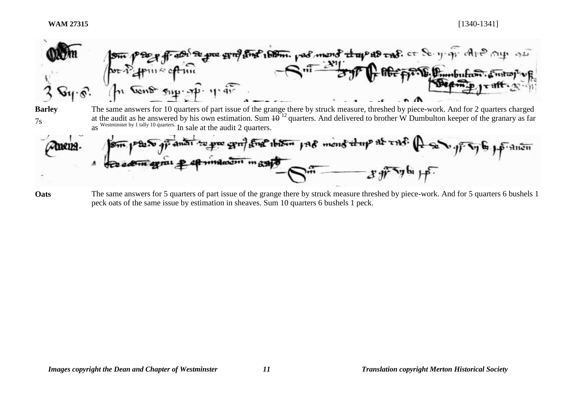**WAM 27315** [1340-1341]





**Oats** The same answers for 5 quarters of part issue of the grange there by struck measure threshed by piece-work. And for 5 quarters 6 bushels 1 peck oats of the same issue by estimation in sheaves. Sum 10 quarters 6 bushels 1 peck.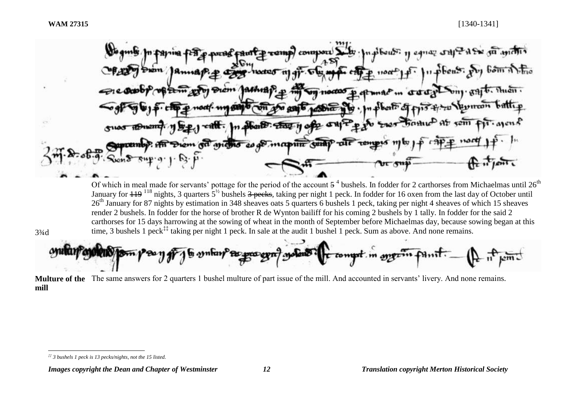$3/4d$ 

l

comp compore Set fugitous: 11 cance PASK 50 apiciois orany buy gajt. then. **VIT noctor**  $\sqrt{20n}$ abbent? about The 11 of CH ancino es a mapun suap THE TOMOUS

Of which in meal made for servants' pottage for the period of the account  $5<sup>4</sup>$  bushels. In fodder for 2 carthorses from Michaelmas until 26<sup>th</sup> January for <del>119</del> <sup>118</sup> nights, 3 quarters 5<sup>1/2</sup> bushels <del>3 pecks</del>, taking per night 1 peck. In fodder for 16 oxen from the last day of October until 26<sup>th</sup> January for 87 nights by estimation in 348 sheaves oats 5 quarters 6 bushels 1 peck, taking per night 4 sheaves of which 15 sheaves render 2 bushels. In fodder for the horse of brother R de Wynton bailiff for his coming 2 bushels by 1 tally. In fodder for the said 2 carthorses for 15 days harrowing at the sowing of wheat in the month of September before Michaelmas day, because sowing began at this time. 3 bushels 1 peck<sup>‡‡</sup> taking per night 1 peck. In sale at the audit 1 bushel 1 peck. Sum as above. And none remains.

**Multure of the**  The same answers for 2 quarters 1 bushel multure of part issue of the mill. And accounted in servants' livery. And none remains. **mill**

*<sup>‡‡</sup> 3 bushels 1 peck is 13 pecks/nights, not the 15 listed.*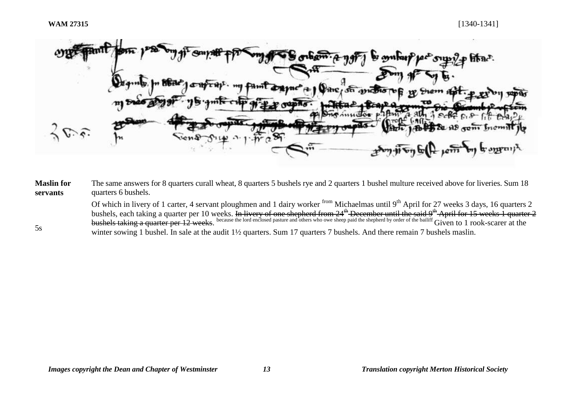5s

hine.  $A$  )  $Q$  and  $\sigma$ 

**Maslin for servants** The same answers for 8 quarters curall wheat, 8 quarters 5 bushels rye and 2 quarters 1 bushel multure received above for liveries. Sum 18 quarters 6 bushels.

> Of which in livery of 1 carter, 4 servant ploughmen and 1 dairy worker from Michaelmas until 9<sup>th</sup> April for 27 weeks 3 days, 16 quarters 2 bushels, each taking a quarter per 10 weeks. In livery of one shepherd from 24<sup>th</sup> December until the said 9<sup>th</sup> April for 15 weeks 1 quarter 2 bushels taking a quarter per 12 weeks. because the lord enclosed pasture and others who owe sheep paid the shepherd by order of the bailiff Given to 1 rook-scarer at the winter sowing 1 bushel. In sale at the audit 1<sup>1</sup>/<sub>2</sub> quarters. Sum 17 quarters 7 bushels. And there remain 7 bushels maslin.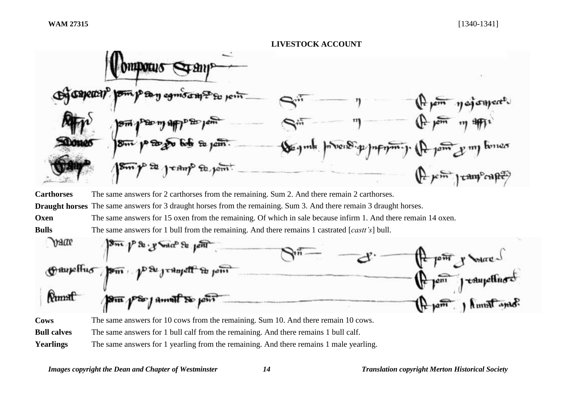

**MINTO** 1 tam<sup>p</sup>cane **Carthorses** The same answers for 2 carthorses from the remaining. Sum 2. And there remain 2 carthorses. **Draught horses** The same answers for 3 draught horses from the remaining. Sum 3. And there remain 3 draught horses. **Oxen** The same answers for 15 oxen from the remaining. Of which in sale because infirm 1. And there remain 14 oxen. **Bulls** The same answers for 1 bull from the remaining. And there remains 1 castrated [*castt's*] bull. wate  $R_{\rm t}$ Amal So joi **Cows** The same answers for 10 cows from the remaining. Sum 10. And there remain 10 cows. **Bull calves** The same answers for 1 bull calf from the remaining. And there remains 1 bull calf.

**Yearlings** The same answers for 1 yearling from the remaining. And there remains 1 male yearling.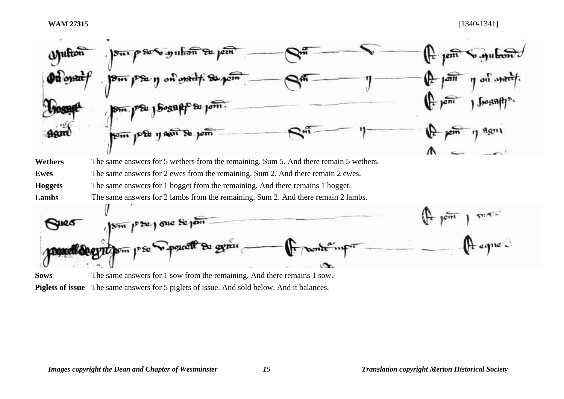

**Piglets of issue** The same answers for 5 piglets of issue. And sold below. And it balances.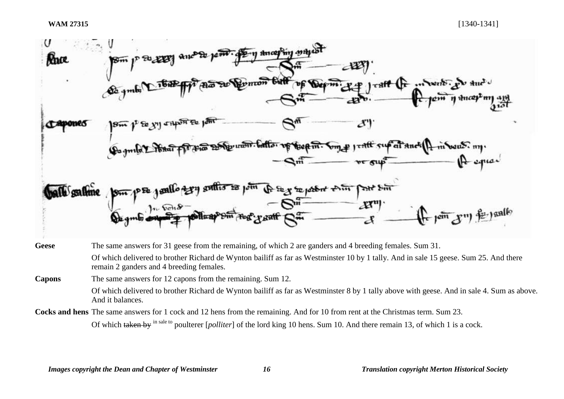

Of which delivered to brother Richard de Wynton bailiff as far as Westminster 10 by 1 tally. And in sale 15 geese. Sum 25. And there remain 2 ganders and 4 breeding females.

**Capons** The same answers for 12 capons from the remaining. Sum 12.

Of which delivered to brother Richard de Wynton bailiff as far as Westminster 8 by 1 tally above with geese. And in sale 4. Sum as above. And it balances.

**Cocks and hens** The same answers for 1 cock and 12 hens from the remaining. And for 10 from rent at the Christmas term. Sum 23.

Of which taken by <sup>in sale to</sup> poulterer [*polliter*] of the lord king 10 hens. Sum 10. And there remain 13, of which 1 is a cock.